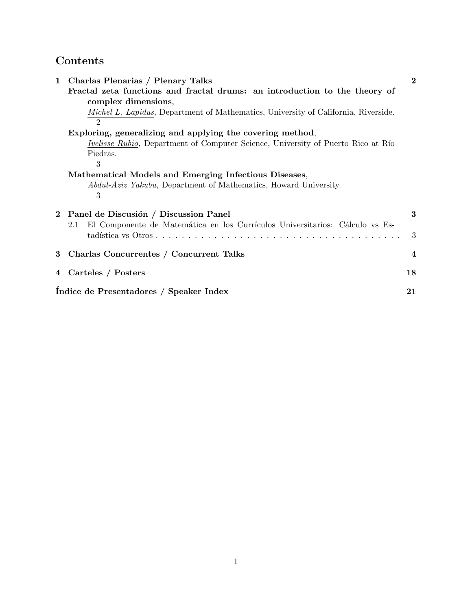# **Contents**

| 1 | Charlas Plenarias / Plenary Talks                                                        | $\overline{2}$          |
|---|------------------------------------------------------------------------------------------|-------------------------|
|   | Fractal zeta functions and fractal drums: an introduction to the theory of               |                         |
|   | complex dimensions,                                                                      |                         |
|   | Michel L. Lapidus, Department of Mathematics, University of California, Riverside.       |                         |
|   |                                                                                          |                         |
|   | Exploring, generalizing and applying the covering method,                                |                         |
|   | <i>Ivelisse Rubio</i> , Department of Computer Science, University of Puerto Rico at Río |                         |
|   | Piedras.                                                                                 |                         |
|   | 3                                                                                        |                         |
|   | Mathematical Models and Emerging Infectious Diseases,                                    |                         |
|   | <i>Abdul-Aziz Yakubu</i> , Department of Mathematics, Howard University.                 |                         |
|   | 3                                                                                        |                         |
|   | 2 Panel de Discusión / Discussion Panel                                                  | 3                       |
|   | El Componente de Matemática en los Currículos Universitarios: Cálculo vs Es-<br>2.1      |                         |
|   |                                                                                          | 3                       |
|   |                                                                                          |                         |
| 3 | Charlas Concurrentes / Concurrent Talks                                                  | $\overline{\mathbf{4}}$ |
|   | 4 Carteles / Posters                                                                     | 18                      |
|   | Indice de Presentadores / Speaker Index                                                  | 21                      |
|   |                                                                                          |                         |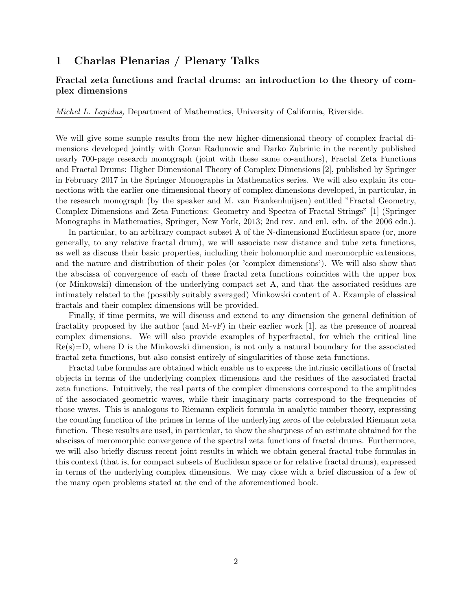## **1 Charlas Plenarias / Plenary Talks**

### **Fractal zeta functions and fractal drums: an introduction to the theory of complex dimensions**

*Michel L. Lapidus,* Department of Mathematics, University of California, Riverside.

We will give some sample results from the new higher-dimensional theory of complex fractal dimensions developed jointly with Goran Radunovic and Darko Zubrinic in the recently published nearly 700-page research monograph (joint with these same co-authors), Fractal Zeta Functions and Fractal Drums: Higher Dimensional Theory of Complex Dimensions [2], published by Springer in February 2017 in the Springer Monographs in Mathematics series. We will also explain its connections with the earlier one-dimensional theory of complex dimensions developed, in particular, in the research monograph (by the speaker and M. van Frankenhuijsen) entitled "Fractal Geometry, Complex Dimensions and Zeta Functions: Geometry and Spectra of Fractal Strings" [1] (Springer Monographs in Mathematics, Springer, New York, 2013; 2nd rev. and enl. edn. of the 2006 edn.).

In particular, to an arbitrary compact subset A of the N-dimensional Euclidean space (or, more generally, to any relative fractal drum), we will associate new distance and tube zeta functions, as well as discuss their basic properties, including their holomorphic and meromorphic extensions, and the nature and distribution of their poles (or 'complex dimensions'). We will also show that the abscissa of convergence of each of these fractal zeta functions coincides with the upper box (or Minkowski) dimension of the underlying compact set A, and that the associated residues are intimately related to the (possibly suitably averaged) Minkowski content of A. Example of classical fractals and their complex dimensions will be provided.

Finally, if time permits, we will discuss and extend to any dimension the general definition of fractality proposed by the author (and M-vF) in their earlier work [1], as the presence of nonreal complex dimensions. We will also provide examples of hyperfractal, for which the critical line  $Re(s)=D$ , where D is the Minkowski dimension, is not only a natural boundary for the associated fractal zeta functions, but also consist entirely of singularities of those zeta functions.

Fractal tube formulas are obtained which enable us to express the intrinsic oscillations of fractal objects in terms of the underlying complex dimensions and the residues of the associated fractal zeta functions. Intuitively, the real parts of the complex dimensions correspond to the amplitudes of the associated geometric waves, while their imaginary parts correspond to the frequencies of those waves. This is analogous to Riemann explicit formula in analytic number theory, expressing the counting function of the primes in terms of the underlying zeros of the celebrated Riemann zeta function. These results are used, in particular, to show the sharpness of an estimate obtained for the abscissa of meromorphic convergence of the spectral zeta functions of fractal drums. Furthermore, we will also briefly discuss recent joint results in which we obtain general fractal tube formulas in this context (that is, for compact subsets of Euclidean space or for relative fractal drums), expressed in terms of the underlying complex dimensions. We may close with a brief discussion of a few of the many open problems stated at the end of the aforementioned book.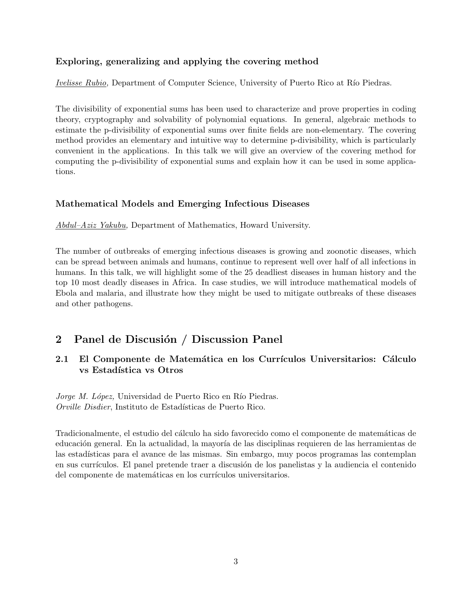### **Exploring, generalizing and applying the covering method**

*Ivelisse Rubio,* Department of Computer Science, University of Puerto Rico at Río Piedras.

The divisibility of exponential sums has been used to characterize and prove properties in coding theory, cryptography and solvability of polynomial equations. In general, algebraic methods to estimate the p-divisibility of exponential sums over finite fields are non-elementary. The covering method provides an elementary and intuitive way to determine p-divisibility, which is particularly convenient in the applications. In this talk we will give an overview of the covering method for computing the p-divisibility of exponential sums and explain how it can be used in some applications.

### **Mathematical Models and Emerging Infectious Diseases**

*Abdul–Aziz Yakubu,* Department of Mathematics, Howard University.

The number of outbreaks of emerging infectious diseases is growing and zoonotic diseases, which can be spread between animals and humans, continue to represent well over half of all infections in humans. In this talk, we will highlight some of the 25 deadliest diseases in human history and the top 10 most deadly diseases in Africa. In case studies, we will introduce mathematical models of Ebola and malaria, and illustrate how they might be used to mitigate outbreaks of these diseases and other pathogens.

## 2 Panel de Discusión / Discussion Panel

## **2.1 El Componente de Matemática en los Currículos Universitarios: Cálculo vs Estadística vs Otros**

*Jorge M. López*, Universidad de Puerto Rico en Río Piedras. *Orville Disdier*, Instituto de Estadísticas de Puerto Rico.

Tradicionalmente, el estudio del cálculo ha sido favorecido como el componente de matemáticas de educación general. En la actualidad, la mayoría de las disciplinas requieren de las herramientas de las estadísticas para el avance de las mismas. Sin embargo, muy pocos programas las contemplan en sus currículos. El panel pretende traer a discusión de los panelistas y la audiencia el contenido del componente de matemáticas en los currículos universitarios.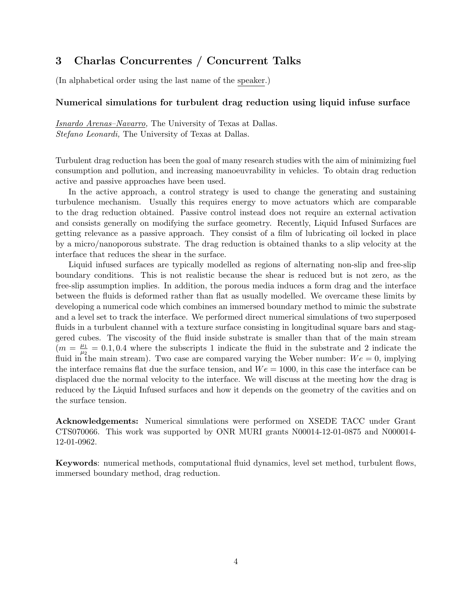## **3 Charlas Concurrentes / Concurrent Talks**

(In alphabetical order using the last name of the speaker.)

#### **Numerical simulations for turbulent drag reduction using liquid infuse surface**

*Isnardo Arenas–Navarro,* The University of Texas at Dallas. *Stefano Leonardi,* The University of Texas at Dallas.

Turbulent drag reduction has been the goal of many research studies with the aim of minimizing fuel consumption and pollution, and increasing manoeuvrability in vehicles. To obtain drag reduction active and passive approaches have been used.

In the active approach, a control strategy is used to change the generating and sustaining turbulence mechanism. Usually this requires energy to move actuators which are comparable to the drag reduction obtained. Passive control instead does not require an external activation and consists generally on modifying the surface geometry. Recently, Liquid Infused Surfaces are getting relevance as a passive approach. They consist of a film of lubricating oil locked in place by a micro/nanoporous substrate. The drag reduction is obtained thanks to a slip velocity at the interface that reduces the shear in the surface.

Liquid infused surfaces are typically modelled as regions of alternating non-slip and free-slip boundary conditions. This is not realistic because the shear is reduced but is not zero, as the free-slip assumption implies. In addition, the porous media induces a form drag and the interface between the fluids is deformed rather than flat as usually modelled. We overcame these limits by developing a numerical code which combines an immersed boundary method to mimic the substrate and a level set to track the interface. We performed direct numerical simulations of two superposed fluids in a turbulent channel with a texture surface consisting in longitudinal square bars and staggered cubes. The viscosity of the fluid inside substrate is smaller than that of the main stream  $(m = \frac{\mu_1}{\mu_2})$  $\frac{\mu_1}{\mu_2} = 0.1, 0.4$  where the subscripts 1 indicate the fluid in the substrate and 2 indicate the fluid in the main stream). Two case are compared varying the Weber number:  $We = 0$ , implying the interface remains flat due the surface tension, and  $We = 1000$ , in this case the interface can be displaced due the normal velocity to the interface. We will discuss at the meeting how the drag is reduced by the Liquid Infused surfaces and how it depends on the geometry of the cavities and on the surface tension.

**Acknowledgements:** Numerical simulations were performed on XSEDE TACC under Grant CTS070066. This work was supported by ONR MURI grants N00014-12-01-0875 and N000014- 12-01-0962.

**Keywords**: numerical methods, computational fluid dynamics, level set method, turbulent flows, immersed boundary method, drag reduction.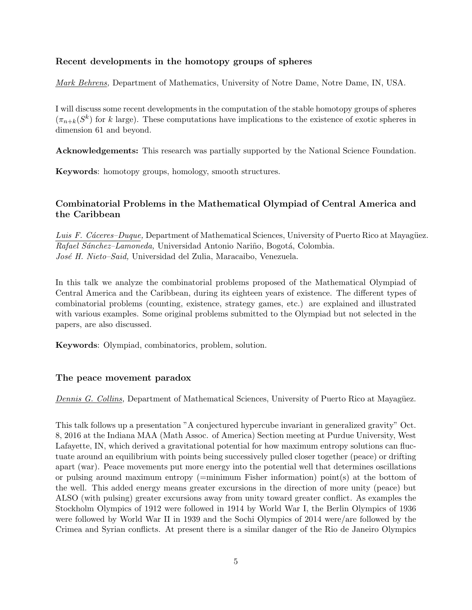### **Recent developments in the homotopy groups of spheres**

*Mark Behrens,* Department of Mathematics, University of Notre Dame, Notre Dame, IN, USA.

I will discuss some recent developments in the computation of the stable homotopy groups of spheres  $(\pi_{n+k}(S^k))$  for *k* large). These computations have implications to the existence of exotic spheres in dimension 61 and beyond.

**Acknowledgements:** This research was partially supported by the National Science Foundation.

**Keywords**: homotopy groups, homology, smooth structures.

### **Combinatorial Problems in the Mathematical Olympiad of Central America and the Caribbean**

*Luis F. Cáceres–Duque,* Department of Mathematical Sciences, University of Puerto Rico at Mayagüez. *Rafael Sánchez–Lamoneda,* Universidad Antonio Nariño, Bogotá, Colombia. *Jos´e H. Nieto–Said,* Universidad del Zulia, Maracaibo, Venezuela.

In this talk we analyze the combinatorial problems proposed of the Mathematical Olympiad of Central America and the Caribbean, during its eighteen years of existence. The different types of combinatorial problems (counting, existence, strategy games, etc.) are explained and illustrated with various examples. Some original problems submitted to the Olympiad but not selected in the papers, are also discussed.

**Keywords**: Olympiad, combinatorics, problem, solution.

#### **The peace movement paradox**

*Dennis G. Collins, Department of Mathematical Sciences, University of Puerto Rico at Mayagüez.* 

This talk follows up a presentation "A conjectured hypercube invariant in generalized gravity" Oct. 8, 2016 at the Indiana MAA (Math Assoc. of America) Section meeting at Purdue University, West Lafayette, IN, which derived a gravitational potential for how maximum entropy solutions can fluctuate around an equilibrium with points being successively pulled closer together (peace) or drifting apart (war). Peace movements put more energy into the potential well that determines oscillations or pulsing around maximum entropy (=minimum Fisher information) point(s) at the bottom of the well. This added energy means greater excursions in the direction of more unity (peace) but ALSO (with pulsing) greater excursions away from unity toward greater conflict. As examples the Stockholm Olympics of 1912 were followed in 1914 by World War I, the Berlin Olympics of 1936 were followed by World War II in 1939 and the Sochi Olympics of 2014 were/are followed by the Crimea and Syrian conflicts. At present there is a similar danger of the Rio de Janeiro Olympics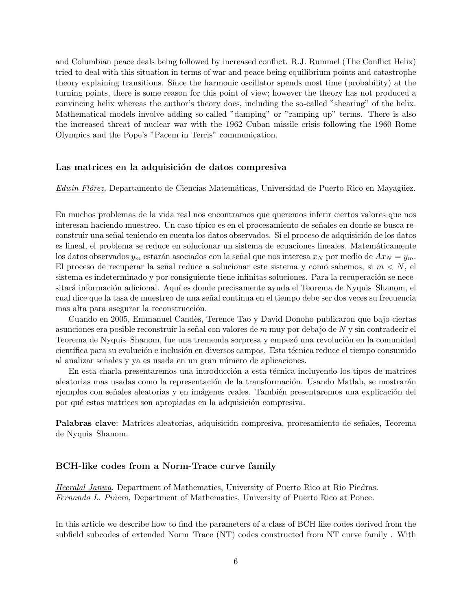and Columbian peace deals being followed by increased conflict. R.J. Rummel (The Conflict Helix) tried to deal with this situation in terms of war and peace being equilibrium points and catastrophe theory explaining transitions. Since the harmonic oscillator spends most time (probability) at the turning points, there is some reason for this point of view; however the theory has not produced a convincing helix whereas the author's theory does, including the so-called "shearing" of the helix. Mathematical models involve adding so-called "damping" or "ramping up" terms. There is also the increased threat of nuclear war with the 1962 Cuban missile crisis following the 1960 Rome Olympics and the Pope's "Pacem in Terris" communication.

#### Las matrices en la adquisición de datos compresiva

*Edwin Flórez,* Departamento de Ciencias Matemáticas, Universidad de Puerto Rico en Mayagüez.

En muchos problemas de la vida real nos encontramos que queremos inferir ciertos valores que nos interesan haciendo muestreo. Un caso típico es en el procesamiento de señales en donde se busca reconstruir una señal teniendo en cuenta los datos observados. Si el proceso de adquisición de los datos es lineal, el problema se reduce en solucionar un sistema de ecuaciones lineales. Matemáticamente los datos observados  $y_m$  estarán asociados con la señal que nos interesa  $x_N$  por medio de  $Ax_N = y_m$ . El proceso de recuperar la señal reduce a solucionar este sistema y como sabemos, si  $m < N$ , el sistema es indeterminado y por consiguiente tiene infinitas soluciones. Para la recuperación se necesitará información adicional. Aquí es donde precisamente ayuda el Teorema de Nyquis–Shanom, el cual dice que la tasa de muestreo de una señal continua en el tiempo debe ser dos veces su frecuencia mas alta para asegurar la reconstrucción.

Cuando en 2005, Emmanuel Cand`es, Terence Tao y David Donoho publicaron que bajo ciertas asunciones era posible reconstruir la señal con valores de *m* muy por debajo de *N* y sin contradecir el Teorema de Nyquis–Shanom, fue una tremenda sorpresa y empezó una revolución en la comunidad científica para su evolución e inclusión en diversos campos. Esta técnica reduce el tiempo consumido al analizar señales y ya es usada en un gran número de aplicaciones.

En esta charla presentaremos una introducción a esta técnica incluyendo los tipos de matrices aleatorias mas usadas como la representación de la transformación. Usando Matlab, se mostrarán ejemplos con señales aleatorias y en imágenes reales. También presentaremos una explicación del por qué estas matrices son apropiadas en la adquisición compresiva.

Palabras clave: Matrices aleatorias, adquisición compresiva, procesamiento de señales, Teorema de Nyquis–Shanom.

#### **BCH-like codes from a Norm-Trace curve family**

*Heeralal Janwa,* Department of Mathematics, University of Puerto Rico at Rio Piedras. *Fernando L. Piñero,* Department of Mathematics, University of Puerto Rico at Ponce.

In this article we describe how to find the parameters of a class of BCH like codes derived from the subfield subcodes of extended Norm–Trace (NT) codes constructed from NT curve family . With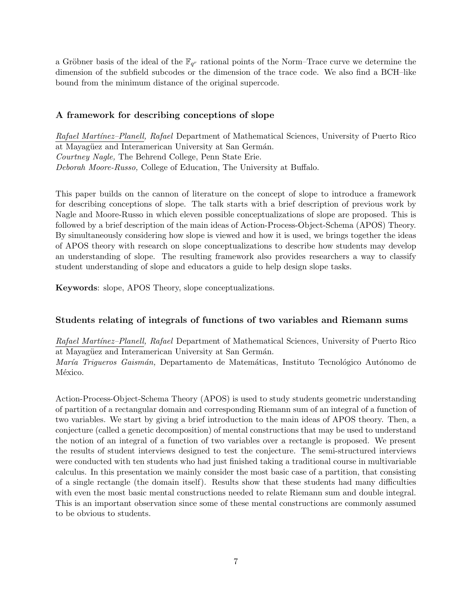a Gröbner basis of the ideal of the  $\mathbb{F}_{q^r}$  rational points of the Norm–Trace curve we determine the dimension of the subfield subcodes or the dimension of the trace code. We also find a BCH–like bound from the minimum distance of the original supercode.

#### **A framework for describing conceptions of slope**

*Rafael Mart´ınez–Planell, Rafael* Department of Mathematical Sciences, University of Puerto Rico at Mayagüez and Interamerican University at San Germán. *Courtney Nagle,* The Behrend College, Penn State Erie. *Deborah Moore-Russo,* College of Education, The University at Buffalo.

This paper builds on the cannon of literature on the concept of slope to introduce a framework for describing conceptions of slope. The talk starts with a brief description of previous work by Nagle and Moore-Russo in which eleven possible conceptualizations of slope are proposed. This is followed by a brief description of the main ideas of Action-Process-Object-Schema (APOS) Theory. By simultaneously considering how slope is viewed and how it is used, we brings together the ideas of APOS theory with research on slope conceptualizations to describe how students may develop an understanding of slope. The resulting framework also provides researchers a way to classify student understanding of slope and educators a guide to help design slope tasks.

**Keywords**: slope, APOS Theory, slope conceptualizations.

#### **Students relating of integrals of functions of two variables and Riemann sums**

*Rafael Mart´ınez–Planell, Rafael* Department of Mathematical Sciences, University of Puerto Rico at Mayagüez and Interamerican University at San Germán.

*María Trigueros Gaismán,* Departamento de Matemáticas, Instituto Tecnológico Autónomo de México.

Action-Process-Object-Schema Theory (APOS) is used to study students geometric understanding of partition of a rectangular domain and corresponding Riemann sum of an integral of a function of two variables. We start by giving a brief introduction to the main ideas of APOS theory. Then, a conjecture (called a genetic decomposition) of mental constructions that may be used to understand the notion of an integral of a function of two variables over a rectangle is proposed. We present the results of student interviews designed to test the conjecture. The semi-structured interviews were conducted with ten students who had just finished taking a traditional course in multivariable calculus. In this presentation we mainly consider the most basic case of a partition, that consisting of a single rectangle (the domain itself). Results show that these students had many difficulties with even the most basic mental constructions needed to relate Riemann sum and double integral. This is an important observation since some of these mental constructions are commonly assumed to be obvious to students.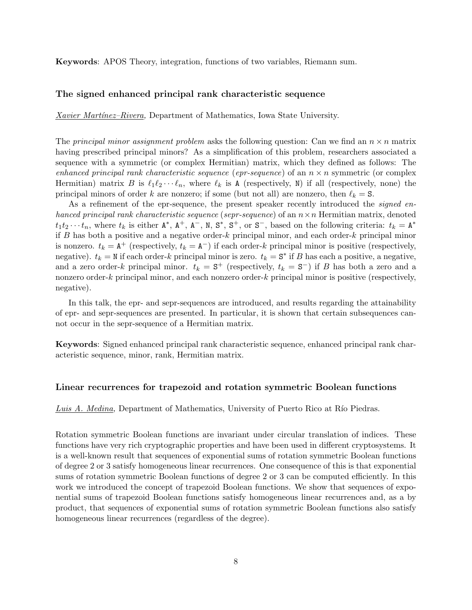**Keywords**: APOS Theory, integration, functions of two variables, Riemann sum.

#### **The signed enhanced principal rank characteristic sequence**

*Xavier Mart´ınez–Rivera,* Department of Mathematics, Iowa State University.

The *principal minor assignment problem* asks the following question: Can we find an  $n \times n$  matrix having prescribed principal minors? As a simplification of this problem, researchers associated a sequence with a symmetric (or complex Hermitian) matrix, which they defined as follows: The *enhanced principal rank characteristic sequence (epr-sequence)* of an  $n \times n$  symmetric (or complex Hermitian) matrix *B* is  $\ell_1 \ell_2 \cdots \ell_n$ , where  $\ell_k$  is A (respectively, N) if all (respectively, none) the principal minors of order *k* are nonzero; if some (but not all) are nonzero, then  $\ell_k = S$ .

As a refinement of the epr-sequence, the present speaker recently introduced the *signed enhanced principal rank characteristic sequence* (*sepr-sequence*) of an *n×n* Hermitian matrix, denoted  $t_1t_2 \cdots t_n$ , where  $t_k$  is either  $A^*$ ,  $A^+$ ,  $A^-$ , N,  $S^*$ ,  $S^+$ , or  $S^-$ , based on the following criteria:  $t_k = A^*$ if *B* has both a positive and a negative order-*k* principal minor, and each order-*k* principal minor is nonzero.  $t_k = A^+$  (respectively,  $t_k = A^-$ ) if each order-*k* principal minor is positive (respectively, negative).  $t_k = N$  if each order-*k* principal minor is zero.  $t_k = S^*$  if *B* has each a positive, a negative, and a zero order-*k* principal minor.  $t_k = S^+$  (respectively,  $t_k = S^-$ ) if *B* has both a zero and a nonzero order-*k* principal minor, and each nonzero order-*k* principal minor is positive (respectively, negative).

In this talk, the epr- and sepr-sequences are introduced, and results regarding the attainability of epr- and sepr-sequences are presented. In particular, it is shown that certain subsequences cannot occur in the sepr-sequence of a Hermitian matrix.

**Keywords**: Signed enhanced principal rank characteristic sequence, enhanced principal rank characteristic sequence, minor, rank, Hermitian matrix.

#### **Linear recurrences for trapezoid and rotation symmetric Boolean functions**

#### *Luis A. Medina,* Department of Mathematics, University of Puerto Rico at Río Piedras.

Rotation symmetric Boolean functions are invariant under circular translation of indices. These functions have very rich cryptographic properties and have been used in different cryptosystems. It is a well-known result that sequences of exponential sums of rotation symmetric Boolean functions of degree 2 or 3 satisfy homogeneous linear recurrences. One consequence of this is that exponential sums of rotation symmetric Boolean functions of degree 2 or 3 can be computed efficiently. In this work we introduced the concept of trapezoid Boolean functions. We show that sequences of exponential sums of trapezoid Boolean functions satisfy homogeneous linear recurrences and, as a by product, that sequences of exponential sums of rotation symmetric Boolean functions also satisfy homogeneous linear recurrences (regardless of the degree).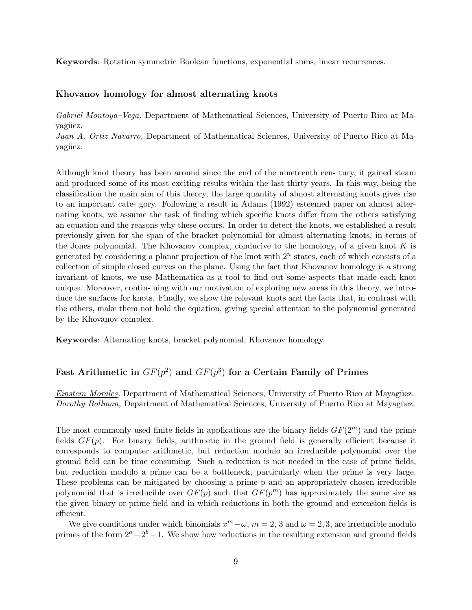**Keywords**: Rotation symmetric Boolean functions, exponential sums, linear recurrences.

#### **Khovanov homology for almost alternating knots**

*Gabriel Montoya–Vega,* Department of Mathematical Sciences, University of Puerto Rico at Mavagüez.

*Juan A. Ortiz Navarro,* Department of Mathematical Sciences, University of Puerto Rico at Mayagüez.

Although knot theory has been around since the end of the nineteenth cen- tury, it gained steam and produced some of its most exciting results within the last thirty years. In this way, being the classification the main aim of this theory, the large quantity of almost alternating knots gives rise to an important cate- gory. Following a result in Adams (1992) esteemed paper on almost alternating knots, we assume the task of finding which specific knots differ from the others satisfying an equation and the reasons why these occurs. In order to detect the knots, we established a result previously given for the span of the bracket polynomial for almost alternating knots, in terms of the Jones polynomial. The Khovanov complex, conducive to the homology, of a given knot *K* is generated by considering a planar projection of the knot with 2*<sup>n</sup>* states, each of which consists of a collection of simple closed curves on the plane. Using the fact that Khovanov homology is a strong invariant of knots, we use Mathematica as a tool to find out some aspects that made each knot unique. Moreover, contin- uing with our motivation of exploring new areas in this theory, we introduce the surfaces for knots. Finally, we show the relevant knots and the facts that, in contrast with the others, make them not hold the equation, giving special attention to the polynomial generated by the Khovanov complex.

**Keywords**: Alternating knots, bracket polynomial, Khovanov homology.

### **Fast Arithmetic in** *GF*(*p* 2 ) **and** *GF*(*p* 3 ) **for a Certain Family of Primes**

*Einstein Morales,* Department of Mathematical Sciences, University of Puerto Rico at Mayagüez. *Dorothy Bollman, Department of Mathematical Sciences, University of Puerto Rico at Mayagüez.* 

The most commonly used finite fields in applications are the binary fields  $GF(2<sup>m</sup>)$  and the prime fields *GF*(*p*). For binary fields, arithmetic in the ground field is generally efficient because it corresponds to computer arithmetic, but reduction modulo an irreducible polynomial over the ground field can be time consuming. Such a reduction is not needed in the case of prime fields, but reduction modulo a prime can be a bottleneck, particularly when the prime is very large. These problems can be mitigated by choosing a prime p and an appropriately chosen irreducible polynomial that is irreducible over  $GF(p)$  such that  $GF(p^m)$  has approximately the same size as the given binary or prime field and in which reductions in both the ground and extension fields is efficient.

We give conditions under which binomials  $x^m - \omega$ ,  $m = 2, 3$  and  $\omega = 2, 3$ , are irreducible modulo primes of the form  $2^a - 2^b - 1$ . We show how reductions in the resulting extension and ground fields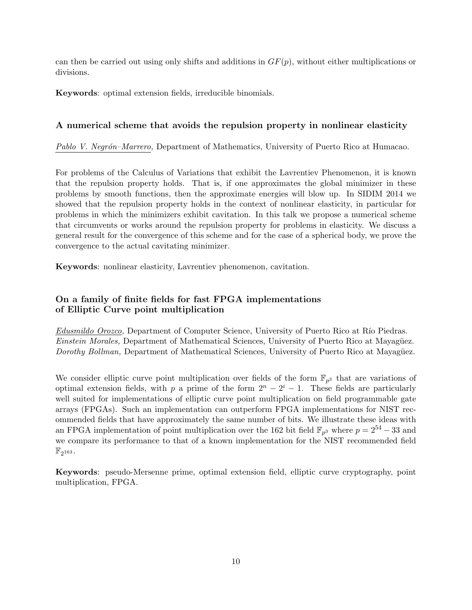can then be carried out using only shifts and additions in *GF*(*p*), without either multiplications or divisions.

**Keywords**: optimal extension fields, irreducible binomials.

#### **A numerical scheme that avoids the repulsion property in nonlinear elasticity**

*Pablo V. Negr´on–Marrero,* Department of Mathematics, University of Puerto Rico at Humacao.

For problems of the Calculus of Variations that exhibit the Lavrentiev Phenomenon, it is known that the repulsion property holds. That is, if one approximates the global minimizer in these problems by smooth functions, then the approximate energies will blow up. In SIDIM 2014 we showed that the repulsion property holds in the context of nonlinear elasticity, in particular for problems in which the minimizers exhibit cavitation. In this talk we propose a numerical scheme that circumvents or works around the repulsion property for problems in elasticity. We discuss a general result for the convergence of this scheme and for the case of a spherical body, we prove the convergence to the actual cavitating minimizer.

**Keywords**: nonlinear elasticity, Lavrentiev phenomenon, cavitation.

### **On a family of finite fields for fast FPGA implementations of Elliptic Curve point multiplication**

*Edusmildo Orozco,* Department of Computer Science, University of Puerto Rico at Río Piedras. *Einstein Morales,* Department of Mathematical Sciences, University of Puerto Rico at Mayagüez. *Dorothy Bollman,* Department of Mathematical Sciences, University of Puerto Rico at Mayagüez.

We consider elliptic curve point multiplication over fields of the form  $\mathbb{F}_{p^3}$  that are variations of optimal extension fields, with *p* a prime of the form  $2^n - 2^i - 1$ . These fields are particularly well suited for implementations of elliptic curve point multiplication on field programmable gate arrays (FPGAs). Such an implementation can outperform FPGA implementations for NIST recommended fields that have approximately the same number of bits. We illustrate these ideas with an FPGA implementation of point multiplication over the 162 bit field  $\mathbb{F}_{p^3}$  where  $p = 2^{54} - 33$  and we compare its performance to that of a known implementation for the NIST recommended field  $\mathbb{F}_{2^{163}}$  .

**Keywords**: pseudo-Mersenne prime, optimal extension field, elliptic curve cryptography, point multiplication, FPGA.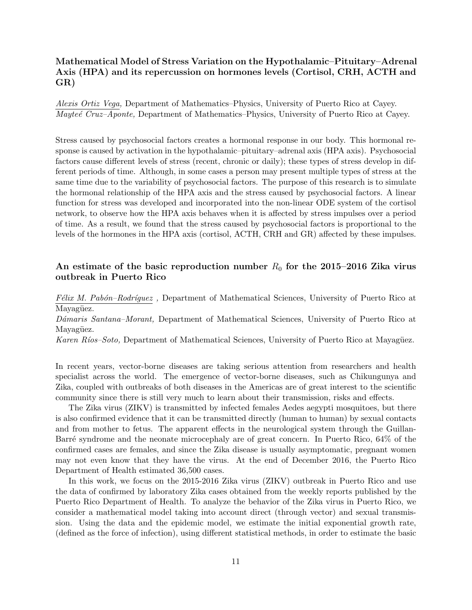### **Mathematical Model of Stress Variation on the Hypothalamic–Pituitary–Adrenal Axis (HPA) and its repercussion on hormones levels (Cortisol, CRH, ACTH and GR)**

*Alexis Ortiz Vega,* Department of Mathematics–Physics, University of Puerto Rico at Cayey. *Mayte´e Cruz–Aponte,* Department of Mathematics–Physics, University of Puerto Rico at Cayey.

Stress caused by psychosocial factors creates a hormonal response in our body. This hormonal response is caused by activation in the hypothalamic–pituitary–adrenal axis (HPA axis). Psychosocial factors cause different levels of stress (recent, chronic or daily); these types of stress develop in different periods of time. Although, in some cases a person may present multiple types of stress at the same time due to the variability of psychosocial factors. The purpose of this research is to simulate the hormonal relationship of the HPA axis and the stress caused by psychosocial factors. A linear function for stress was developed and incorporated into the non-linear ODE system of the cortisol network, to observe how the HPA axis behaves when it is affected by stress impulses over a period of time. As a result, we found that the stress caused by psychosocial factors is proportional to the levels of the hormones in the HPA axis (cortisol, ACTH, CRH and GR) affected by these impulses.

### **An estimate of the basic reproduction number** *R*<sup>0</sup> **for the 2015–2016 Zika virus outbreak in Puerto Rico**

*F'elix M. Pabón–Rodríquez*, Department of Mathematical Sciences, University of Puerto Rico at Mayagüez.

*D´amaris Santana–Morant,* Department of Mathematical Sciences, University of Puerto Rico at Mayagüez.

*Karen Ríos–Soto,* Department of Mathematical Sciences, University of Puerto Rico at Mayagüez.

In recent years, vector-borne diseases are taking serious attention from researchers and health specialist across the world. The emergence of vector-borne diseases, such as Chikungunya and Zika, coupled with outbreaks of both diseases in the Americas are of great interest to the scientific community since there is still very much to learn about their transmission, risks and effects.

The Zika virus (ZIKV) is transmitted by infected females Aedes aegypti mosquitoes, but there is also confirmed evidence that it can be transmitted directly (human to human) by sexual contacts and from mother to fetus. The apparent effects in the neurological system through the Guillan-Barré syndrome and the neonate microcephaly are of great concern. In Puerto Rico, 64% of the confirmed cases are females, and since the Zika disease is usually asymptomatic, pregnant women may not even know that they have the virus. At the end of December 2016, the Puerto Rico Department of Health estimated 36,500 cases.

In this work, we focus on the 2015-2016 Zika virus (ZIKV) outbreak in Puerto Rico and use the data of confirmed by laboratory Zika cases obtained from the weekly reports published by the Puerto Rico Department of Health. To analyze the behavior of the Zika virus in Puerto Rico, we consider a mathematical model taking into account direct (through vector) and sexual transmission. Using the data and the epidemic model, we estimate the initial exponential growth rate, (defined as the force of infection), using different statistical methods, in order to estimate the basic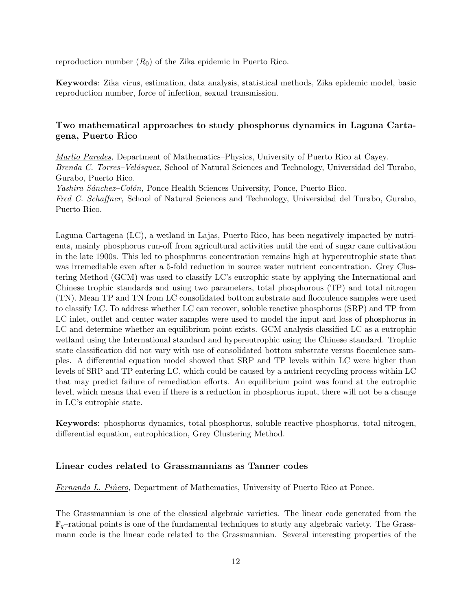reproduction number (*R*0) of the Zika epidemic in Puerto Rico.

**Keywords**: Zika virus, estimation, data analysis, statistical methods, Zika epidemic model, basic reproduction number, force of infection, sexual transmission.

### **Two mathematical approaches to study phosphorus dynamics in Laguna Cartagena, Puerto Rico**

*Marlio Paredes,* Department of Mathematics–Physics, University of Puerto Rico at Cayey. *Brenda C. Torres–Vel´asquez,* School of Natural Sciences and Technology, Universidad del Turabo, Gurabo, Puerto Rico. *Yashira S´anchez–Col´on,* Ponce Health Sciences University, Ponce, Puerto Rico.

*Fred C. Schaffner,* School of Natural Sciences and Technology, Universidad del Turabo, Gurabo, Puerto Rico.

Laguna Cartagena (LC), a wetland in Lajas, Puerto Rico, has been negatively impacted by nutrients, mainly phosphorus run-off from agricultural activities until the end of sugar cane cultivation in the late 1900s. This led to phosphurus concentration remains high at hypereutrophic state that was irremediable even after a 5-fold reduction in source water nutrient concentration. Grey Clustering Method (GCM) was used to classify LC's eutrophic state by applying the International and Chinese trophic standards and using two parameters, total phosphorous (TP) and total nitrogen (TN). Mean TP and TN from LC consolidated bottom substrate and flocculence samples were used to classify LC. To address whether LC can recover, soluble reactive phosphorus (SRP) and TP from LC inlet, outlet and center water samples were used to model the input and loss of phosphorus in LC and determine whether an equilibrium point exists. GCM analysis classified LC as a eutrophic wetland using the International standard and hypereutrophic using the Chinese standard. Trophic state classification did not vary with use of consolidated bottom substrate versus flocculence samples. A differential equation model showed that SRP and TP levels within LC were higher than levels of SRP and TP entering LC, which could be caused by a nutrient recycling process within LC that may predict failure of remediation efforts. An equilibrium point was found at the eutrophic level, which means that even if there is a reduction in phosphorus input, there will not be a change in LC's eutrophic state.

**Keywords**: phosphorus dynamics, total phosphorus, soluble reactive phosphorus, total nitrogen, differential equation, eutrophication, Grey Clustering Method.

#### **Linear codes related to Grassmannians as Tanner codes**

*Fernando L. Pi˜nero,* Department of Mathematics, University of Puerto Rico at Ponce.

The Grassmannian is one of the classical algebraic varieties. The linear code generated from the F*q*–rational points is one of the fundamental techniques to study any algebraic variety. The Grassmann code is the linear code related to the Grassmannian. Several interesting properties of the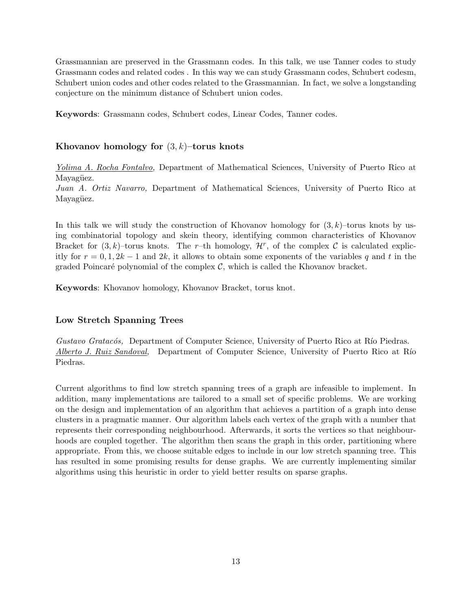Grassmannian are preserved in the Grassmann codes. In this talk, we use Tanner codes to study Grassmann codes and related codes . In this way we can study Grassmann codes, Schubert codesm, Schubert union codes and other codes related to the Grassmannian. In fact, we solve a longstanding conjecture on the minimum distance of Schubert union codes.

**Keywords**: Grassmann codes, Schubert codes, Linear Codes, Tanner codes.

#### **Khovanov homology for** (3*, k*)**–torus knots**

*Yolima A. Rocha Fontalvo,* Department of Mathematical Sciences, University of Puerto Rico at Mayagüez.

*Juan A. Ortiz Navarro,* Department of Mathematical Sciences, University of Puerto Rico at Mayagüez.

In this talk we will study the construction of Khovanov homology for (3*, k*)–torus knots by using combinatorial topology and skein theory, identifying common characteristics of Khovanov Bracket for  $(3, k)$ –torus knots. The *r*–th homology,  $\mathcal{H}^r$ , of the complex  $\mathcal C$  is calculated explicitly for  $r = 0, 1, 2k - 1$  and  $2k$ , it allows to obtain some exponents of the variables q and t in the graded Poincaré polynomial of the complex  $C$ , which is called the Khovanov bracket.

**Keywords**: Khovanov homology, Khovanov Bracket, torus knot.

#### **Low Stretch Spanning Trees**

*Gustavo Gratacós,* Department of Computer Science, University of Puerto Rico at Río Piedras. *Alberto J. Ruiz Sandoval*, Department of Computer Science, University of Puerto Rico at Río Piedras.

Current algorithms to find low stretch spanning trees of a graph are infeasible to implement. In addition, many implementations are tailored to a small set of specific problems. We are working on the design and implementation of an algorithm that achieves a partition of a graph into dense clusters in a pragmatic manner. Our algorithm labels each vertex of the graph with a number that represents their corresponding neighbourhood. Afterwards, it sorts the vertices so that neighbourhoods are coupled together. The algorithm then scans the graph in this order, partitioning where appropriate. From this, we choose suitable edges to include in our low stretch spanning tree. This has resulted in some promising results for dense graphs. We are currently implementing similar algorithms using this heuristic in order to yield better results on sparse graphs.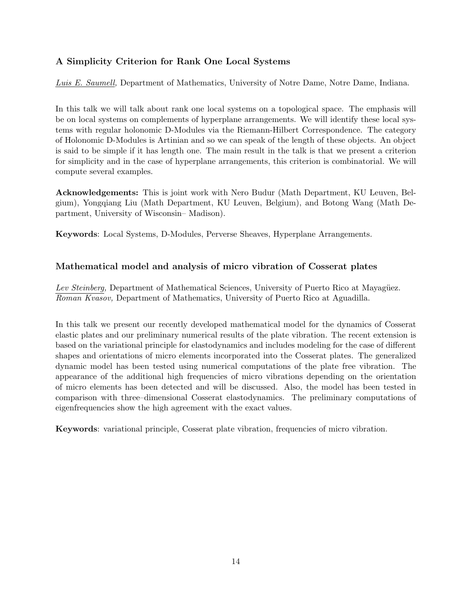## **A Simplicity Criterion for Rank One Local Systems**

*Luis E. Saumell,* Department of Mathematics, University of Notre Dame, Notre Dame, Indiana.

In this talk we will talk about rank one local systems on a topological space. The emphasis will be on local systems on complements of hyperplane arrangements. We will identify these local systems with regular holonomic D-Modules via the Riemann-Hilbert Correspondence. The category of Holonomic D-Modules is Artinian and so we can speak of the length of these objects. An object is said to be simple if it has length one. The main result in the talk is that we present a criterion for simplicity and in the case of hyperplane arrangements, this criterion is combinatorial. We will compute several examples.

**Acknowledgements:** This is joint work with Nero Budur (Math Department, KU Leuven, Belgium), Yongqiang Liu (Math Department, KU Leuven, Belgium), and Botong Wang (Math Department, University of Wisconsin– Madison).

**Keywords**: Local Systems, D-Modules, Perverse Sheaves, Hyperplane Arrangements.

### **Mathematical model and analysis of micro vibration of Cosserat plates**

*Lev Steinberg,* Department of Mathematical Sciences, University of Puerto Rico at Mayagüez. *Roman Kvasov,* Department of Mathematics, University of Puerto Rico at Aguadilla.

In this talk we present our recently developed mathematical model for the dynamics of Cosserat elastic plates and our preliminary numerical results of the plate vibration. The recent extension is based on the variational principle for elastodynamics and includes modeling for the case of different shapes and orientations of micro elements incorporated into the Cosserat plates. The generalized dynamic model has been tested using numerical computations of the plate free vibration. The appearance of the additional high frequencies of micro vibrations depending on the orientation of micro elements has been detected and will be discussed. Also, the model has been tested in comparison with three–dimensional Cosserat elastodynamics. The preliminary computations of eigenfrequencies show the high agreement with the exact values.

**Keywords**: variational principle, Cosserat plate vibration, frequencies of micro vibration.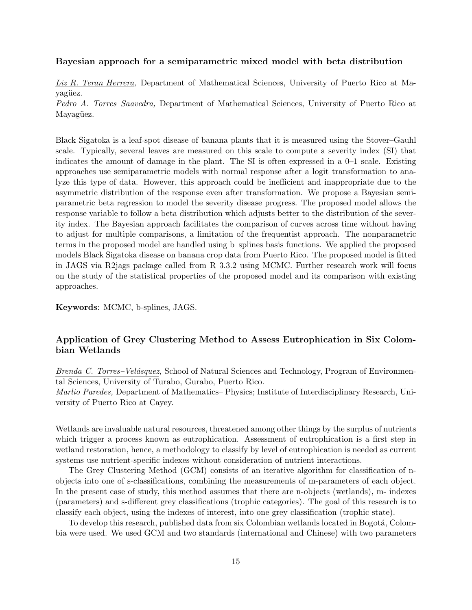#### **Bayesian approach for a semiparametric mixed model with beta distribution**

*Liz R. Teran Herrera,* Department of Mathematical Sciences, University of Puerto Rico at Mayagüez.

*Pedro A. Torres–Saavedra,* Department of Mathematical Sciences, University of Puerto Rico at Mayagüez.

Black Sigatoka is a leaf-spot disease of banana plants that it is measured using the Stover–Gauhl scale. Typically, several leaves are measured on this scale to compute a severity index (SI) that indicates the amount of damage in the plant. The SI is often expressed in a 0–1 scale. Existing approaches use semiparametric models with normal response after a logit transformation to analyze this type of data. However, this approach could be inefficient and inappropriate due to the asymmetric distribution of the response even after transformation. We propose a Bayesian semiparametric beta regression to model the severity disease progress. The proposed model allows the response variable to follow a beta distribution which adjusts better to the distribution of the severity index. The Bayesian approach facilitates the comparison of curves across time without having to adjust for multiple comparisons, a limitation of the frequentist approach. The nonparametric terms in the proposed model are handled using b–splines basis functions. We applied the proposed models Black Sigatoka disease on banana crop data from Puerto Rico. The proposed model is fitted in JAGS via R2jags package called from R 3.3.2 using MCMC. Further research work will focus on the study of the statistical properties of the proposed model and its comparison with existing approaches.

**Keywords**: MCMC, b-splines, JAGS.

#### **Application of Grey Clustering Method to Assess Eutrophication in Six Colombian Wetlands**

*Brenda C. Torres–Vel´asquez,* School of Natural Sciences and Technology, Program of Environmental Sciences, University of Turabo, Gurabo, Puerto Rico.

*Marlio Paredes,* Department of Mathematics– Physics; Institute of Interdisciplinary Research, University of Puerto Rico at Cayey.

Wetlands are invaluable natural resources, threatened among other things by the surplus of nutrients which trigger a process known as eutrophication. Assessment of eutrophication is a first step in wetland restoration, hence, a methodology to classify by level of eutrophication is needed as current systems use nutrient-specific indexes without consideration of nutrient interactions.

The Grey Clustering Method (GCM) consists of an iterative algorithm for classification of nobjects into one of s-classifications, combining the measurements of m-parameters of each object. In the present case of study, this method assumes that there are n-objects (wetlands), m- indexes (parameters) and s-different grey classifications (trophic categories). The goal of this research is to classify each object, using the indexes of interest, into one grey classification (trophic state).

To develop this research, published data from six Colombian wetlands located in Bogotá, Colombia were used. We used GCM and two standards (international and Chinese) with two parameters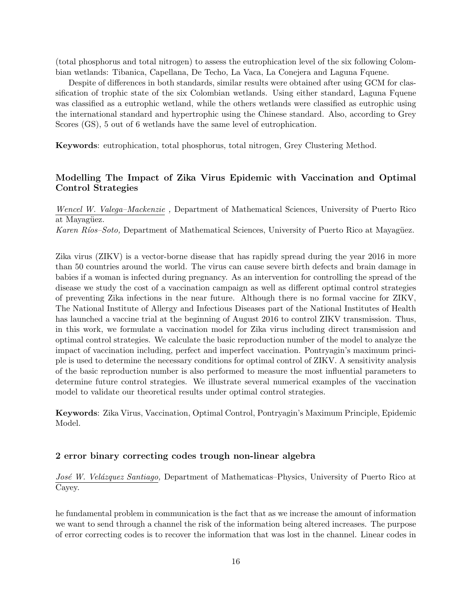(total phosphorus and total nitrogen) to assess the eutrophication level of the six following Colombian wetlands: Tibanica, Capellana, De Techo, La Vaca, La Conejera and Laguna Fquene.

Despite of differences in both standards, similar results were obtained after using GCM for classification of trophic state of the six Colombian wetlands. Using either standard, Laguna Fquene was classified as a eutrophic wetland, while the others wetlands were classified as eutrophic using the international standard and hypertrophic using the Chinese standard. Also, according to Grey Scores (GS), 5 out of 6 wetlands have the same level of eutrophication.

**Keywords**: eutrophication, total phosphorus, total nitrogen, Grey Clustering Method.

### **Modelling The Impact of Zika Virus Epidemic with Vaccination and Optimal Control Strategies**

*Wencel W. Valega–Mackenzie ,* Department of Mathematical Sciences, University of Puerto Rico at Mayagüez.

*Karen Ríos–Soto,* Department of Mathematical Sciences, University of Puerto Rico at Mayagüez.

Zika virus (ZIKV) is a vector-borne disease that has rapidly spread during the year 2016 in more than 50 countries around the world. The virus can cause severe birth defects and brain damage in babies if a woman is infected during pregnancy. As an intervention for controlling the spread of the disease we study the cost of a vaccination campaign as well as different optimal control strategies of preventing Zika infections in the near future. Although there is no formal vaccine for ZIKV, The National Institute of Allergy and Infectious Diseases part of the National Institutes of Health has launched a vaccine trial at the beginning of August 2016 to control ZIKV transmission. Thus, in this work, we formulate a vaccination model for Zika virus including direct transmission and optimal control strategies. We calculate the basic reproduction number of the model to analyze the impact of vaccination including, perfect and imperfect vaccination. Pontryagin's maximum principle is used to determine the necessary conditions for optimal control of ZIKV. A sensitivity analysis of the basic reproduction number is also performed to measure the most influential parameters to determine future control strategies. We illustrate several numerical examples of the vaccination model to validate our theoretical results under optimal control strategies.

**Keywords**: Zika Virus, Vaccination, Optimal Control, Pontryagin's Maximum Principle, Epidemic Model.

#### **2 error binary correcting codes trough non-linear algebra**

*Jos´e W. Vel´azquez Santiago,* Department of Mathematicas–Physics, University of Puerto Rico at Cayey.

he fundamental problem in communication is the fact that as we increase the amount of information we want to send through a channel the risk of the information being altered increases. The purpose of error correcting codes is to recover the information that was lost in the channel. Linear codes in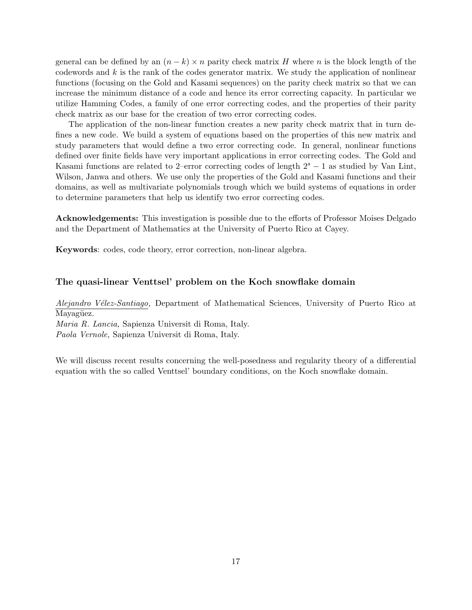general can be defined by an  $(n-k) \times n$  parity check matrix *H* where *n* is the block length of the codewords and *k* is the rank of the codes generator matrix. We study the application of nonlinear functions (focusing on the Gold and Kasami sequences) on the parity check matrix so that we can increase the minimum distance of a code and hence its error correcting capacity. In particular we utilize Hamming Codes, a family of one error correcting codes, and the properties of their parity check matrix as our base for the creation of two error correcting codes.

The application of the non-linear function creates a new parity check matrix that in turn defines a new code. We build a system of equations based on the properties of this new matrix and study parameters that would define a two error correcting code. In general, nonlinear functions defined over finite fields have very important applications in error correcting codes. The Gold and Kasami functions are related to 2–error correcting codes of length 2*<sup>s</sup> <sup>−</sup>* 1 as studied by Van Lint, Wilson, Janwa and others. We use only the properties of the Gold and Kasami functions and their domains, as well as multivariate polynomials trough which we build systems of equations in order to determine parameters that help us identify two error correcting codes.

**Acknowledgements:** This investigation is possible due to the efforts of Professor Moises Delgado and the Department of Mathematics at the University of Puerto Rico at Cayey.

**Keywords**: codes, code theory, error correction, non-linear algebra.

#### **The quasi-linear Venttsel' problem on the Koch snowflake domain**

*Alejandro V´elez-Santiago,* Department of Mathematical Sciences, University of Puerto Rico at Mayagüez.

*Maria R. Lancia,* Sapienza Universit di Roma, Italy.

*Paola Vernole,* Sapienza Universit di Roma, Italy.

We will discuss recent results concerning the well-posedness and regularity theory of a differential equation with the so called Venttsel' boundary conditions, on the Koch snowflake domain.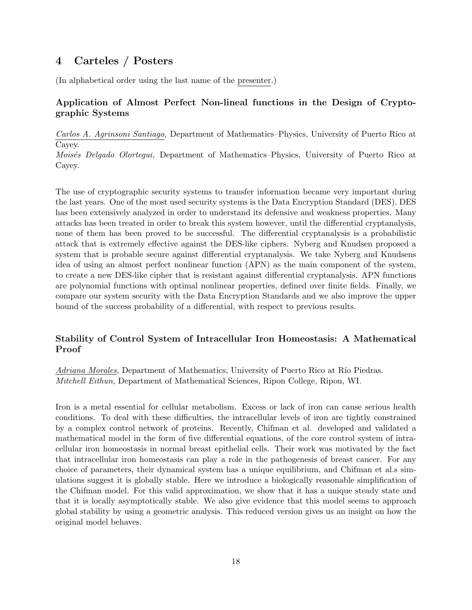## **4 Carteles / Posters**

(In alphabetical order using the last name of the presenter.)

### **Application of Almost Perfect Non-lineal functions in the Design of Cryptographic Systems**

*Carlos A. Agrinsoni Santiago,* Department of Mathematics–Physics, University of Puerto Rico at Cayey.

*Mois´es Delgado Olortegui,* Department of Mathematics–Physics, University of Puerto Rico at Cayey.

The use of cryptographic security systems to transfer information became very important during the last years. One of the most used security systems is the Data Encryption Standard (DES). DES has been extensively analyzed in order to understand its defensive and weakness properties. Many attacks has been treated in order to break this system however, until the differential cryptanalysis, none of them has been proved to be successful. The differential cryptanalysis is a probabilistic attack that is extremely effective against the DES-like ciphers. Nyberg and Knudsen proposed a system that is probable secure against differential cryptanalysis. We take Nyberg and Knudsens idea of using an almost perfect nonlinear function (APN) as the main component of the system, to create a new DES-like cipher that is resistant against differential cryptanalysis. APN functions are polynomial functions with optimal nonlinear properties, defined over finite fields. Finally, we compare our system security with the Data Encryption Standards and we also improve the upper bound of the success probability of a differential, with respect to previous results.

### **Stability of Control System of Intracellular Iron Homeostasis: A Mathematical Proof**

*Adriana Morales*, Department of Mathematics, University of Puerto Rico at Río Piedras. *Mitchell Eithun,* Department of Mathematical Sciences, Ripon College, Ripon, WI.

Iron is a metal essential for cellular metabolism. Excess or lack of iron can cause serious health conditions. To deal with these difficulties, the intracellular levels of iron are tightly constrained by a complex control network of proteins. Recently, Chifman et al. developed and validated a mathematical model in the form of five differential equations, of the core control system of intracellular iron homeostasis in normal breast epithelial cells. Their work was motivated by the fact that intracellular iron homeostasis can play a role in the pathogenesis of breast cancer. For any choice of parameters, their dynamical system has a unique equilibrium, and Chifman et al.s simulations suggest it is globally stable. Here we introduce a biologically reasonable simplification of the Chifman model. For this valid approximation, we show that it has a unique steady state and that it is locally asymptotically stable. We also give evidence that this model seems to approach global stability by using a geometric analysis. This reduced version gives us an insight on how the original model behaves.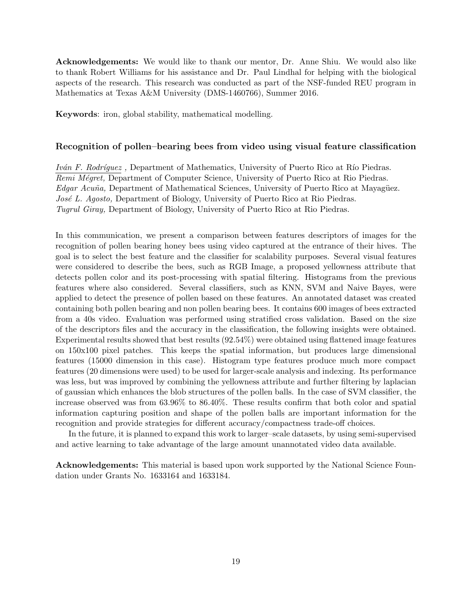**Acknowledgements:** We would like to thank our mentor, Dr. Anne Shiu. We would also like to thank Robert Williams for his assistance and Dr. Paul Lindhal for helping with the biological aspects of the research. This research was conducted as part of the NSF-funded REU program in Mathematics at Texas A&M University (DMS-1460766), Summer 2016.

**Keywords**: iron, global stability, mathematical modelling.

#### **Recognition of pollen–bearing bees from video using visual feature classification**

*Iván F. Rodríguez*, Department of Mathematics, University of Puerto Rico at Río Piedras. *Remi M´egret,* Department of Computer Science, University of Puerto Rico at Rio Piedras. *Edgar Acuña*, Department of Mathematical Sciences, University of Puerto Rico at Mayagüez. *Jos´e L. Agosto,* Department of Biology, University of Puerto Rico at Rio Piedras. *Tugrul Giray,* Department of Biology, University of Puerto Rico at Rio Piedras.

In this communication, we present a comparison between features descriptors of images for the recognition of pollen bearing honey bees using video captured at the entrance of their hives. The goal is to select the best feature and the classifier for scalability purposes. Several visual features were considered to describe the bees, such as RGB Image, a proposed yellowness attribute that detects pollen color and its post-processing with spatial filtering. Histograms from the previous features where also considered. Several classifiers, such as KNN, SVM and Naive Bayes, were applied to detect the presence of pollen based on these features. An annotated dataset was created containing both pollen bearing and non pollen bearing bees. It contains 600 images of bees extracted from a 40s video. Evaluation was performed using stratified cross validation. Based on the size of the descriptors files and the accuracy in the classification, the following insights were obtained. Experimental results showed that best results (92.54%) were obtained using flattened image features on 150x100 pixel patches. This keeps the spatial information, but produces large dimensional features (15000 dimension in this case). Histogram type features produce much more compact features (20 dimensions were used) to be used for larger-scale analysis and indexing. Its performance was less, but was improved by combining the yellowness attribute and further filtering by laplacian of gaussian which enhances the blob structures of the pollen balls. In the case of SVM classifier, the increase observed was from 63.96% to 86.40%. These results confirm that both color and spatial information capturing position and shape of the pollen balls are important information for the recognition and provide strategies for different accuracy/compactness trade-off choices.

In the future, it is planned to expand this work to larger–scale datasets, by using semi-supervised and active learning to take advantage of the large amount unannotated video data available.

**Acknowledgements:** This material is based upon work supported by the National Science Foundation under Grants No. 1633164 and 1633184.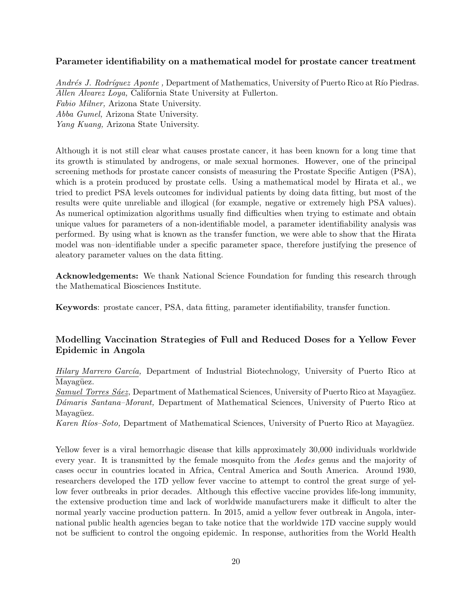### **Parameter identifiability on a mathematical model for prostate cancer treatment**

*Andrés J. Rodríquez Aponte*, Department of Mathematics, University of Puerto Rico at Río Piedras. *Allen Alvarez Loya,* California State University at Fullerton. *Fabio Milner,* Arizona State University. *Abba Gumel,* Arizona State University. *Yang Kuang,* Arizona State University.

Although it is not still clear what causes prostate cancer, it has been known for a long time that its growth is stimulated by androgens, or male sexual hormones. However, one of the principal screening methods for prostate cancer consists of measuring the Prostate Specific Antigen (PSA), which is a protein produced by prostate cells. Using a mathematical model by Hirata et al., we tried to predict PSA levels outcomes for individual patients by doing data fitting, but most of the results were quite unreliable and illogical (for example, negative or extremely high PSA values). As numerical optimization algorithms usually find difficulties when trying to estimate and obtain unique values for parameters of a non-identifiable model, a parameter identifiability analysis was performed. By using what is known as the transfer function, we were able to show that the Hirata model was non–identifiable under a specific parameter space, therefore justifying the presence of aleatory parameter values on the data fitting.

**Acknowledgements:** We thank National Science Foundation for funding this research through the Mathematical Biosciences Institute.

**Keywords**: prostate cancer, PSA, data fitting, parameter identifiability, transfer function.

### **Modelling Vaccination Strategies of Full and Reduced Doses for a Yellow Fever Epidemic in Angola**

*Hilary Marrero Garc´ıa,* Department of Industrial Biotechnology, University of Puerto Rico at Mayagüez.

*Samuel Torres Sáez*, Department of Mathematical Sciences, University of Puerto Rico at Mayagüez. *D´amaris Santana–Morant,* Department of Mathematical Sciences, University of Puerto Rico at Mayagüez.

*Karen Ríos–Soto,* Department of Mathematical Sciences, University of Puerto Rico at Mayagüez.

Yellow fever is a viral hemorrhagic disease that kills approximately 30,000 individuals worldwide every year. It is transmitted by the female mosquito from the *Aedes* genus and the majority of cases occur in countries located in Africa, Central America and South America. Around 1930, researchers developed the 17D yellow fever vaccine to attempt to control the great surge of yellow fever outbreaks in prior decades. Although this effective vaccine provides life-long immunity, the extensive production time and lack of worldwide manufacturers make it difficult to alter the normal yearly vaccine production pattern. In 2015, amid a yellow fever outbreak in Angola, international public health agencies began to take notice that the worldwide 17D vaccine supply would not be sufficient to control the ongoing epidemic. In response, authorities from the World Health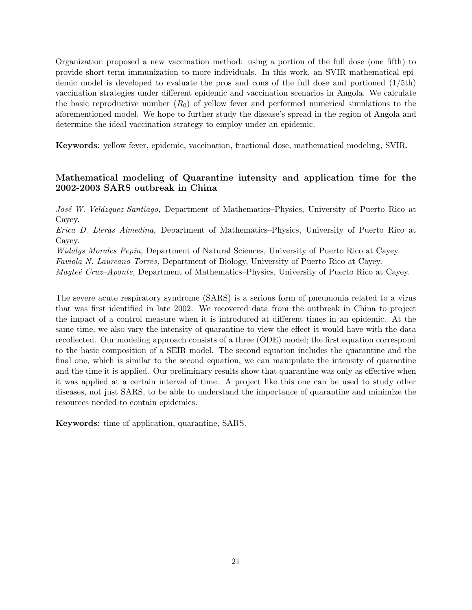Organization proposed a new vaccination method: using a portion of the full dose (one fifth) to provide short-term immunization to more individuals. In this work, an SVIR mathematical epidemic model is developed to evaluate the pros and cons of the full dose and portioned (1/5th) vaccination strategies under different epidemic and vaccination scenarios in Angola. We calculate the basic reproductive number  $(R_0)$  of yellow fever and performed numerical simulations to the aforementioned model. We hope to further study the disease's spread in the region of Angola and determine the ideal vaccination strategy to employ under an epidemic.

**Keywords**: yellow fever, epidemic, vaccination, fractional dose, mathematical modeling, SVIR.

### **Mathematical modeling of Quarantine intensity and application time for the 2002-2003 SARS outbreak in China**

*Jos´e W. Vel´azquez Santiago,* Department of Mathematics–Physics, University of Puerto Rico at Cayey.

*Erica D. Lleras Almedina,* Department of Mathematics–Physics, University of Puerto Rico at Cayey.

*Widalys Morales Pep´ın,* Department of Natural Sciences, University of Puerto Rico at Cayey.

*Faviola N. Laureano Torres,* Department of Biology, University of Puerto Rico at Cayey.

*Mayteé Cruz–Aponte*, Department of Mathematics–Physics, University of Puerto Rico at Cayey.

The severe acute respiratory syndrome (SARS) is a serious form of pneumonia related to a virus that was first identified in late 2002. We recovered data from the outbreak in China to project the impact of a control measure when it is introduced at different times in an epidemic. At the same time, we also vary the intensity of quarantine to view the effect it would have with the data recollected. Our modeling approach consists of a three (ODE) model; the first equation correspond to the basic composition of a SEIR model. The second equation includes the quarantine and the final one, which is similar to the second equation, we can manipulate the intensity of quarantine and the time it is applied. Our preliminary results show that quarantine was only as effective when it was applied at a certain interval of time. A project like this one can be used to study other diseases, not just SARS, to be able to understand the importance of quarantine and minimize the resources needed to contain epidemics.

**Keywords**: time of application, quarantine, SARS.